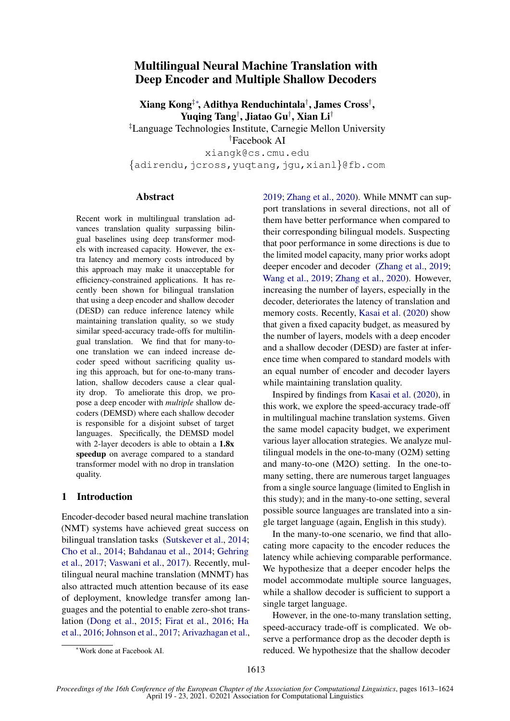# Multilingual Neural Machine Translation with Deep Encoder and Multiple Shallow Decoders

Xiang Kong‡∗ , Adithya Renduchintala† , James Cross† , Yuqing Tang† , Jiatao Gu† , Xian Li† ‡Language Technologies Institute, Carnegie Mellon University †Facebook AI xiangk@cs.cmu.edu {adirendu,jcross,yuqtang,jgu,xianl}@fb.com

### Abstract

Recent work in multilingual translation advances translation quality surpassing bilingual baselines using deep transformer models with increased capacity. However, the extra latency and memory costs introduced by this approach may make it unacceptable for efficiency-constrained applications. It has recently been shown for bilingual translation that using a deep encoder and shallow decoder (DESD) can reduce inference latency while maintaining translation quality, so we study similar speed-accuracy trade-offs for multilingual translation. We find that for many-toone translation we can indeed increase decoder speed without sacrificing quality using this approach, but for one-to-many translation, shallow decoders cause a clear quality drop. To ameliorate this drop, we propose a deep encoder with *multiple* shallow decoders (DEMSD) where each shallow decoder is responsible for a disjoint subset of target languages. Specifically, the DEMSD model with 2-layer decoders is able to obtain a  $1.8x$ speedup on average compared to a standard transformer model with no drop in translation quality.

### 1 Introduction

Encoder-decoder based neural machine translation (NMT) systems have achieved great success on bilingual translation tasks [\(Sutskever et al.,](#page-9-0) [2014;](#page-9-0) [Cho et al.,](#page-8-0) [2014;](#page-8-0) [Bahdanau et al.,](#page-8-1) [2014;](#page-8-1) [Gehring](#page-8-2) [et al.,](#page-8-2) [2017;](#page-8-2) [Vaswani et al.,](#page-9-1) [2017\)](#page-9-1). Recently, multilingual neural machine translation (MNMT) has also attracted much attention because of its ease of deployment, knowledge transfer among languages and the potential to enable zero-shot translation [\(Dong et al.,](#page-8-3) [2015;](#page-8-3) [Firat et al.,](#page-8-4) [2016;](#page-8-4) [Ha](#page-8-5) [et al.,](#page-8-5) [2016;](#page-8-5) [Johnson et al.,](#page-8-6) [2017;](#page-8-6) [Arivazhagan et al.,](#page-8-7)

[2019;](#page-8-7) [Zhang et al.,](#page-9-2) [2020\)](#page-9-2). While MNMT can support translations in several directions, not all of them have better performance when compared to their corresponding bilingual models. Suspecting that poor performance in some directions is due to the limited model capacity, many prior works adopt deeper encoder and decoder [\(Zhang et al.,](#page-9-3) [2019;](#page-9-3) [Wang et al.,](#page-9-4) [2019;](#page-9-4) [Zhang et al.,](#page-9-2) [2020\)](#page-9-2). However, increasing the number of layers, especially in the decoder, deteriorates the latency of translation and memory costs. Recently, [Kasai et al.](#page-8-8) [\(2020\)](#page-8-8) show that given a fixed capacity budget, as measured by the number of layers, models with a deep encoder and a shallow decoder (DESD) are faster at inference time when compared to standard models with an equal number of encoder and decoder layers while maintaining translation quality.

Inspired by findings from [Kasai et al.](#page-8-8) [\(2020\)](#page-8-8), in this work, we explore the speed-accuracy trade-off in multilingual machine translation systems. Given the same model capacity budget, we experiment various layer allocation strategies. We analyze multilingual models in the one-to-many (O2M) setting and many-to-one (M2O) setting. In the one-tomany setting, there are numerous target languages from a single source language (limited to English in this study); and in the many-to-one setting, several possible source languages are translated into a single target language (again, English in this study).

In the many-to-one scenario, we find that allocating more capacity to the encoder reduces the latency while achieving comparable performance. We hypothesize that a deeper encoder helps the model accommodate multiple source languages, while a shallow decoder is sufficient to support a single target language.

However, in the one-to-many translation setting, speed-accuracy trade-off is complicated. We observe a performance drop as the decoder depth is reduced. We hypothesize that the shallow decoder

<sup>∗</sup>Work done at Facebook AI.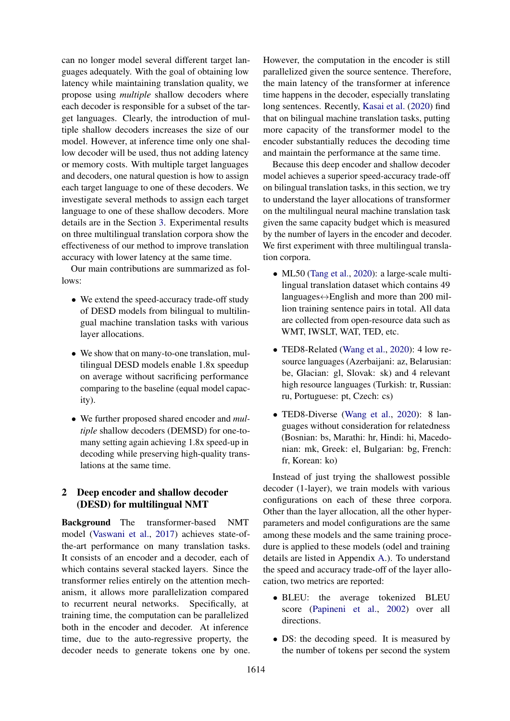can no longer model several different target languages adequately. With the goal of obtaining low latency while maintaining translation quality, we propose using *multiple* shallow decoders where each decoder is responsible for a subset of the target languages. Clearly, the introduction of multiple shallow decoders increases the size of our model. However, at inference time only one shallow decoder will be used, thus not adding latency or memory costs. With multiple target languages and decoders, one natural question is how to assign each target language to one of these decoders. We investigate several methods to assign each target language to one of these shallow decoders. More details are in the Section [3.](#page-2-0) Experimental results on three multilingual translation corpora show the effectiveness of our method to improve translation accuracy with lower latency at the same time.

Our main contributions are summarized as follows:

- We extend the speed-accuracy trade-off study of DESD models from bilingual to multilingual machine translation tasks with various layer allocations.
- We show that on many-to-one translation, multilingual DESD models enable 1.8x speedup on average without sacrificing performance comparing to the baseline (equal model capacity).
- We further proposed shared encoder and *multiple* shallow decoders (DEMSD) for one-tomany setting again achieving 1.8x speed-up in decoding while preserving high-quality translations at the same time.

# 2 Deep encoder and shallow decoder (DESD) for multilingual NMT

Background The transformer-based NMT model [\(Vaswani et al.,](#page-9-1) [2017\)](#page-9-1) achieves state-ofthe-art performance on many translation tasks. It consists of an encoder and a decoder, each of which contains several stacked layers. Since the transformer relies entirely on the attention mechanism, it allows more parallelization compared to recurrent neural networks. Specifically, at training time, the computation can be parallelized both in the encoder and decoder. At inference time, due to the auto-regressive property, the decoder needs to generate tokens one by one.

However, the computation in the encoder is still parallelized given the source sentence. Therefore, the main latency of the transformer at inference time happens in the decoder, especially translating long sentences. Recently, [Kasai et al.](#page-8-8) [\(2020\)](#page-8-8) find that on bilingual machine translation tasks, putting more capacity of the transformer model to the encoder substantially reduces the decoding time and maintain the performance at the same time.

Because this deep encoder and shallow decoder model achieves a superior speed-accuracy trade-off on bilingual translation tasks, in this section, we try to understand the layer allocations of transformer on the multilingual neural machine translation task given the same capacity budget which is measured by the number of layers in the encoder and decoder. We first experiment with three multilingual translation corpora.

- ML50 [\(Tang et al.,](#page-9-5) [2020\)](#page-9-5): a large-scale multilingual translation dataset which contains 49 languages↔English and more than 200 million training sentence pairs in total. All data are collected from open-resource data such as WMT, IWSLT, WAT, TED, etc.
- TED8-Related [\(Wang et al.,](#page-9-6) [2020\)](#page-9-6): 4 low resource languages (Azerbaijani: az, Belarusian: be, Glacian: gl, Slovak: sk) and 4 relevant high resource languages (Turkish: tr, Russian: ru, Portuguese: pt, Czech: cs)
- TED8-Diverse [\(Wang et al.,](#page-9-6) [2020\)](#page-9-6): 8 languages without consideration for relatedness (Bosnian: bs, Marathi: hr, Hindi: hi, Macedonian: mk, Greek: el, Bulgarian: bg, French: fr, Korean: ko)

Instead of just trying the shallowest possible decoder (1-layer), we train models with various configurations on each of these three corpora. Other than the layer allocation, all the other hyperparameters and model configurations are the same among these models and the same training procedure is applied to these models (odel and training details are listed in Appendix [A.](#page-10-0)). To understand the speed and accuracy trade-off of the layer allocation, two metrics are reported:

- BLEU: the average tokenized BLEU score [\(Papineni et al.,](#page-9-7) [2002\)](#page-9-7) over all directions.
- DS: the decoding speed. It is measured by the number of tokens per second the system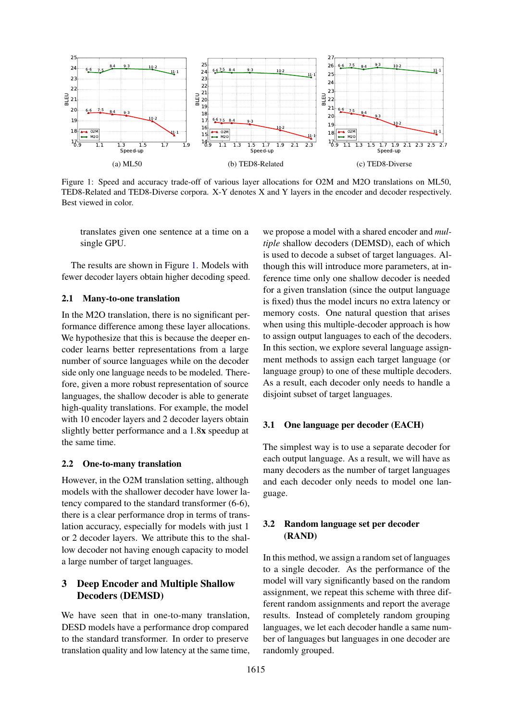<span id="page-2-1"></span>

Figure 1: Speed and accuracy trade-off of various layer allocations for O2M and M2O translations on ML50, TED8-Related and TED8-Diverse corpora. X-Y denotes X and Y layers in the encoder and decoder respectively. Best viewed in color.

translates given one sentence at a time on a single GPU.

The results are shown in Figure [1.](#page-2-1) Models with fewer decoder layers obtain higher decoding speed.

### 2.1 Many-to-one translation

In the M2O translation, there is no significant performance difference among these layer allocations. We hypothesize that this is because the deeper encoder learns better representations from a large number of source languages while on the decoder side only one language needs to be modeled. Therefore, given a more robust representation of source languages, the shallow decoder is able to generate high-quality translations. For example, the model with 10 encoder layers and 2 decoder layers obtain slightly better performance and a 1.8x speedup at the same time.

#### 2.2 One-to-many translation

However, in the O2M translation setting, although models with the shallower decoder have lower latency compared to the standard transformer (6-6), there is a clear performance drop in terms of translation accuracy, especially for models with just 1 or 2 decoder layers. We attribute this to the shallow decoder not having enough capacity to model a large number of target languages.

# <span id="page-2-0"></span>3 Deep Encoder and Multiple Shallow Decoders (DEMSD)

We have seen that in one-to-many translation, DESD models have a performance drop compared to the standard transformer. In order to preserve translation quality and low latency at the same time, we propose a model with a shared encoder and *multiple* shallow decoders (DEMSD), each of which is used to decode a subset of target languages. Although this will introduce more parameters, at inference time only one shallow decoder is needed for a given translation (since the output language is fixed) thus the model incurs no extra latency or memory costs. One natural question that arises when using this multiple-decoder approach is how to assign output languages to each of the decoders. In this section, we explore several language assignment methods to assign each target language (or language group) to one of these multiple decoders. As a result, each decoder only needs to handle a disjoint subset of target languages.

### 3.1 One language per decoder (EACH)

The simplest way is to use a separate decoder for each output language. As a result, we will have as many decoders as the number of target languages and each decoder only needs to model one language.

## 3.2 Random language set per decoder (RAND)

In this method, we assign a random set of languages to a single decoder. As the performance of the model will vary significantly based on the random assignment, we repeat this scheme with three different random assignments and report the average results. Instead of completely random grouping languages, we let each decoder handle a same number of languages but languages in one decoder are randomly grouped.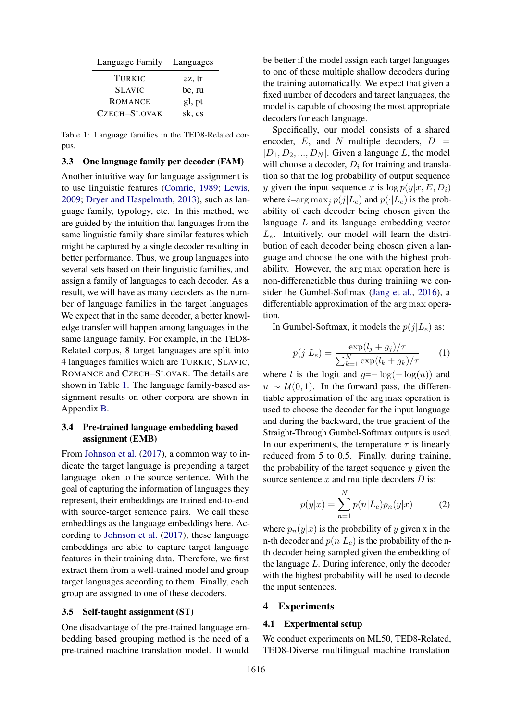<span id="page-3-0"></span>

| Language Family | Languages |
|-----------------|-----------|
| TURKIC          | az, tr    |
| <b>SLAVIC</b>   | be, ru    |
| <b>ROMANCE</b>  | gl, pt    |
| CZECH-SLOVAK    | sk, cs    |

Table 1: Language families in the TED8-Related corpus.

#### 3.3 One language family per decoder (FAM)

Another intuitive way for language assignment is to use linguistic features [\(Comrie,](#page-8-9) [1989;](#page-8-9) [Lewis,](#page-9-8) [2009;](#page-9-8) [Dryer and Haspelmath,](#page-8-10) [2013\)](#page-8-10), such as language family, typology, etc. In this method, we are guided by the intuition that languages from the same linguistic family share similar features which might be captured by a single decoder resulting in better performance. Thus, we group languages into several sets based on their linguistic families, and assign a family of languages to each decoder. As a result, we will have as many decoders as the number of language families in the target languages. We expect that in the same decoder, a better knowledge transfer will happen among languages in the same language family. For example, in the TED8- Related corpus, 8 target languages are split into 4 languages families which are TURKIC, SLAVIC, ROMANCE and CZECH–SLOVAK. The details are shown in Table [1.](#page-3-0) The language family-based assignment results on other corpora are shown in Appendix [B.](#page-10-1)

# 3.4 Pre-trained language embedding based assignment (EMB)

From [Johnson et al.](#page-8-6) [\(2017\)](#page-8-6), a common way to indicate the target language is prepending a target language token to the source sentence. With the goal of capturing the information of languages they represent, their embeddings are trained end-to-end with source-target sentence pairs. We call these embeddings as the language embeddings here. According to [Johnson et al.](#page-8-6) [\(2017\)](#page-8-6), these language embeddings are able to capture target language features in their training data. Therefore, we first extract them from a well-trained model and group target languages according to them. Finally, each group are assigned to one of these decoders.

#### 3.5 Self-taught assignment (ST)

One disadvantage of the pre-trained language embedding based grouping method is the need of a pre-trained machine translation model. It would

be better if the model assign each target languages to one of these multiple shallow decoders during the training automatically. We expect that given a fixed number of decoders and target languages, the model is capable of choosing the most appropriate decoders for each language.

Specifically, our model consists of a shared encoder,  $E$ , and  $N$  multiple decoders,  $D =$  $[D_1, D_2, ..., D_N]$ . Given a language L, the model will choose a decoder,  $D_i$  for training and translation so that the log probability of output sequence y given the input sequence x is  $\log p(y|x, E, D_i)$ where  $i=arg \max_{i} p(j|L_e)$  and  $p(\cdot|L_e)$  is the probability of each decoder being chosen given the language L and its language embedding vector  $L_e$ . Intuitively, our model will learn the distribution of each decoder being chosen given a language and choose the one with the highest probability. However, the arg max operation here is non-differenetiable thus during trainiing we consider the Gumbel-Softmax [\(Jang et al.,](#page-8-11) [2016\)](#page-8-11), a differentiable approximation of the arg max operation.

In Gumbel-Softmax, it models the  $p(j|L_e)$  as:

$$
p(j|L_e) = \frac{\exp(l_j + g_j)/\tau}{\sum_{k=1}^{N} \exp(l_k + g_k)/\tau}
$$
 (1)

where l is the logit and  $q=-\log(-\log(u))$  and  $u \sim \mathcal{U}(0, 1)$ . In the forward pass, the differentiable approximation of the arg max operation is used to choose the decoder for the input language and during the backward, the true gradient of the Straight-Through Gumbel-Softmax outputs is used. In our experiments, the temperature  $\tau$  is linearly reduced from 5 to 0.5. Finally, during training, the probability of the target sequence  $y$  given the source sentence  $x$  and multiple decoders  $D$  is:

$$
p(y|x) = \sum_{n=1}^{N} p(n|L_e)p_n(y|x)
$$
 (2)

where  $p_n(y|x)$  is the probability of y given x in the n-th decoder and  $p(n|L_e)$  is the probability of the nth decoder being sampled given the embedding of the language  $L$ . During inference, only the decoder with the highest probability will be used to decode the input sentences.

#### 4 Experiments

#### 4.1 Experimental setup

We conduct experiments on ML50, TED8-Related, TED8-Diverse multilingual machine translation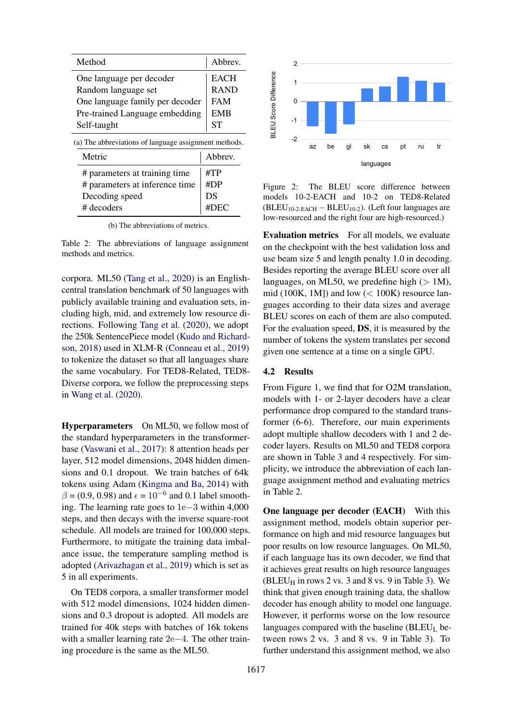<span id="page-4-0"></span>

| Method                                                | Abbrev.     |
|-------------------------------------------------------|-------------|
| One language per decoder                              | <b>EACH</b> |
| Random language set                                   | <b>RAND</b> |
| One language family per decoder                       | <b>FAM</b>  |
| Pre-trained Language embedding                        | <b>EMB</b>  |
| Self-taught                                           | <b>ST</b>   |
| (a) The abbreviations of language assignment methods. |             |
| Metric                                                | Abbrev.     |
| # parameters at training time                         | #TP         |
| # parameters at inference time                        | #DP         |
| Decoding speed                                        | DS          |
| # decoders                                            | #Γ<br>)EC   |

(b) The abbreviations of metrics.

Table 2: The abbreviations of language assignment methods and metrics.

corpora. ML50 [\(Tang et al.,](#page-9-5) [2020\)](#page-9-5) is an Englishcentral translation benchmark of 50 languages with publicly available training and evaluation sets, including high, mid, and extremely low resource directions. Following [Tang et al.](#page-9-5) [\(2020\)](#page-9-5), we adopt the 250k SentencePiece model [\(Kudo and Richard](#page-9-9)[son,](#page-9-9) [2018\)](#page-9-9) used in XLM-R [\(Conneau et al.,](#page-8-12) [2019\)](#page-8-12) to tokenize the dataset so that all languages share the same vocabulary. For TED8-Related, TED8- Diverse corpora, we follow the preprocessing steps in [Wang et al.](#page-9-6) [\(2020\)](#page-9-6).

Hyperparameters On ML50, we follow most of the standard hyperparameters in the transformerbase [\(Vaswani et al.,](#page-9-1) [2017\)](#page-9-1): 8 attention heads per layer, 512 model dimensions, 2048 hidden dimensions and 0.1 dropout. We train batches of 64k tokens using Adam [\(Kingma and Ba,](#page-9-10) [2014\)](#page-9-10) with  $\beta = (0.9, 0.98)$  and  $\epsilon = 10^{-6}$  and 0.1 label smoothing. The learning rate goes to 1e−3 within 4,000 steps, and then decays with the inverse square-root schedule. All models are trained for 100,000 steps. Furthermore, to mitigate the training data imbalance issue, the temperature sampling method is adopted [\(Arivazhagan et al.,](#page-8-7) [2019\)](#page-8-7) which is set as 5 in all experiments.

On TED8 corpora, a smaller transformer model with 512 model dimensions, 1024 hidden dimensions and 0.3 dropout is adopted. All models are trained for 40k steps with batches of 16k tokens with a smaller learning rate 2e−4. The other training procedure is the same as the ML50.

<span id="page-4-1"></span>

Figure 2: The BLEU score difference between models 10-2-EACH and 10-2 on TED8-Related  $(BLEU<sub>10-2-EACH</sub> - BLEU<sub>10-2</sub>)$ . (Left four languages are low-resourced and the right four are high-resourced.)

Evaluation metrics For all models, we evaluate on the checkpoint with the best validation loss and use beam size 5 and length penalty 1.0 in decoding. Besides reporting the average BLEU score over all languages, on ML50, we predefine high  $(> 1M)$ , mid (100K, 1M]) and low  $(< 100K$ ) resource languages according to their data sizes and average BLEU scores on each of them are also computed. For the evaluation speed, DS, it is measured by the number of tokens the system translates per second given one sentence at a time on a single GPU.

#### 4.2 Results

From Figure [1,](#page-2-1) we find that for O2M translation, models with 1- or 2-layer decoders have a clear performance drop compared to the standard transformer (6-6). Therefore, our main experiments adopt multiple shallow decoders with 1 and 2 decoder layers. Results on ML50 and TED8 corpora are shown in Table [3](#page-5-0) and [4](#page-5-1) respectively. For simplicity, we introduce the abbreviation of each language assignment method and evaluating metrics in Table [2.](#page-4-0)

One language per decoder (EACH) With this assignment method, models obtain superior performance on high and mid resource languages but poor results on low resource languages. On ML50, if each language has its own decoder, we find that it achieves great results on high resource languages  $(BLEU_H$  in rows 2 vs. 3 and 8 vs. 9 in Table [3\)](#page-5-0). We think that given enough training data, the shallow decoder has enough ability to model one language. However, it performs worse on the low resource languages compared with the baseline  $(BLEU<sub>L</sub>)$  between rows 2 vs. 3 and 8 vs. 9 in Table [3\)](#page-5-0). To further understand this assignment method, we also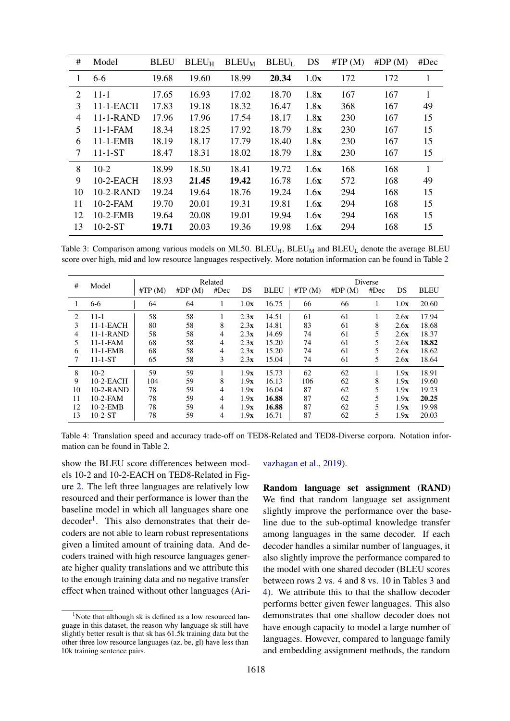<span id="page-5-0"></span>

| #  | Model          | <b>BLEU</b> | $BLEU_H$ | $BLEU_M$ | $BLEU_L$ | DS   | $\#TP(M)$ | #DP(M) | #Dec |
|----|----------------|-------------|----------|----------|----------|------|-----------|--------|------|
| 1  | $6-6$          | 19.68       | 19.60    | 18.99    | 20.34    | 1.0x | 172       | 172    | 1    |
| 2  | $11 - 1$       | 17.65       | 16.93    | 17.02    | 18.70    | 1.8x | 167       | 167    | 1    |
| 3  | $11-1-EACH$    | 17.83       | 19.18    | 18.32    | 16.47    | 1.8x | 368       | 167    | 49   |
| 4  | $11-1-RAND$    | 17.96       | 17.96    | 17.54    | 18.17    | 1.8x | 230       | 167    | 15   |
| 5  | $11 - 1 - FAM$ | 18.34       | 18.25    | 17.92    | 18.79    | 1.8x | 230       | 167    | 15   |
| 6  | $11 - 1$ -EMB  | 18.19       | 18.17    | 17.79    | 18.40    | 1.8x | 230       | 167    | 15   |
| 7  | $11 - 1 - ST$  | 18.47       | 18.31    | 18.02    | 18.79    | 1.8x | 230       | 167    | 15   |
| 8  | $10-2$         | 18.99       | 18.50    | 18.41    | 19.72    | 1.6x | 168       | 168    | 1    |
| 9  | $10-2-EACH$    | 18.93       | 21.45    | 19.42    | 16.78    | 1.6x | 572       | 168    | 49   |
| 10 | $10-2-RAND$    | 19.24       | 19.64    | 18.76    | 19.24    | 1.6x | 294       | 168    | 15   |
| 11 | $10-2$ -FAM    | 19.70       | 20.01    | 19.31    | 19.81    | 1.6x | 294       | 168    | 15   |
| 12 | $10-2$ -EMB    | 19.64       | 20.08    | 19.01    | 19.94    | 1.6x | 294       | 168    | 15   |
| 13 | $10-2-ST$      | 19.71       | 20.03    | 19.36    | 19.98    | 1.6x | 294       | 168    | 15   |

Table 3: Comparison among various models on ML50.  $BLEU_H$ ,  $BLEU_M$  and  $BLEU_L$  denote the average BLEU score over high, mid and low resource languages respectively. More notation information can be found in Table [2](#page-4-0)

<span id="page-5-1"></span>

|    |                |           |        | Related |      |             |           |        | Diverse |      |             |
|----|----------------|-----------|--------|---------|------|-------------|-----------|--------|---------|------|-------------|
| #  | Model          | $\#TP(M)$ | #DP(M) | #Dec    | DS   | <b>BLEU</b> | $\#TP(M)$ | #DP(M) | #Dec    | DS   | <b>BLEU</b> |
|    | $6-6$          | 64        | 64     |         | 1.0x | 16.75       | 66        | 66     |         | 1.0x | 20.60       |
| 2  | $11 - 1$       | 58        | 58     |         | 2.3x | 14.51       | 61        | 61     |         | 2.6x | 17.94       |
| 3  | $11-1-EACH$    | 80        | 58     | 8       | 2.3x | 14.81       | 83        | 61     | 8       | 2.6x | 18.68       |
| 4  | $11-1-RAND$    | 58        | 58     | 4       | 2.3x | 14.69       | 74        | 61     | 5       | 2.6x | 18.37       |
| 5  | $11 - 1 - FAM$ | 68        | 58     | 4       | 2.3x | 15.20       | 74        | 61     | 5       | 2.6x | 18.82       |
| 6  | $11 - 1 - EMB$ | 68        | 58     | 4       | 2.3x | 15.20       | 74        | 61     | 5       | 2.6x | 18.62       |
| 7  | $11 - 1 - ST$  | 65        | 58     | 3       | 2.3x | 15.04       | 74        | 61     | 5       | 2.6x | 18.64       |
| 8  | $10-2$         | 59        | 59     |         | 1.9x | 15.73       | 62        | 62     |         | 1.9x | 18.91       |
| 9  | $10-2$ -EACH   | 104       | 59     | 8       | 1.9x | 16.13       | 106       | 62     | 8       | 1.9x | 19.60       |
| 10 | $10-2-RAND$    | 78        | 59     | 4       | 1.9x | 16.04       | 87        | 62     | 5       | 1.9x | 19.23       |
| 11 | $10-2$ -FAM    | 78        | 59     | 4       | 1.9x | 16.88       | 87        | 62     | 5       | 1.9x | 20.25       |
| 12 | $10-2$ -EMB    | 78        | 59     | 4       | 1.9x | 16.88       | 87        | 62     | 5       | 1.9x | 19.98       |
| 13 | $10-2-ST$      | 78        | 59     | 4       | 1.9x | 16.71       | 87        | 62     | 5       | 1.9x | 20.03       |

Table 4: Translation speed and accuracy trade-off on TED8-Related and TED8-Diverse corpora. Notation information can be found in Table [2.](#page-4-0)

show the BLEU score differences between models 10-2 and 10-2-EACH on TED8-Related in Figure [2.](#page-4-1) The left three languages are relatively low resourced and their performance is lower than the baseline model in which all languages share one decoder<sup>[1](#page-5-2)</sup>. This also demonstrates that their decoders are not able to learn robust representations given a limited amount of training data. And decoders trained with high resource languages generate higher quality translations and we attribute this to the enough training data and no negative transfer effect when trained without other languages [\(Ari-](#page-8-7)

#### [vazhagan et al.,](#page-8-7) [2019\)](#page-8-7).

Random language set assignment (RAND) We find that random language set assignment slightly improve the performance over the baseline due to the sub-optimal knowledge transfer among languages in the same decoder. If each decoder handles a similar number of languages, it also slightly improve the performance compared to the model with one shared decoder (BLEU scores between rows 2 vs. 4 and 8 vs. 10 in Tables [3](#page-5-0) and [4\)](#page-5-1). We attribute this to that the shallow decoder performs better given fewer languages. This also demonstrates that one shallow decoder does not have enough capacity to model a large number of languages. However, compared to language family and embedding assignment methods, the random

<span id="page-5-2"></span> $1$ [Note that although sk is defined as a low resourced lan](#page-8-7)[guage in this dataset, the reason why language sk still have](#page-8-7) [slightly better result is that sk has 61.5k training data but the](#page-8-7) [other three low resource languages \(az, be, gl\) have less than](#page-8-7) [10k training sentence pairs.](#page-8-7)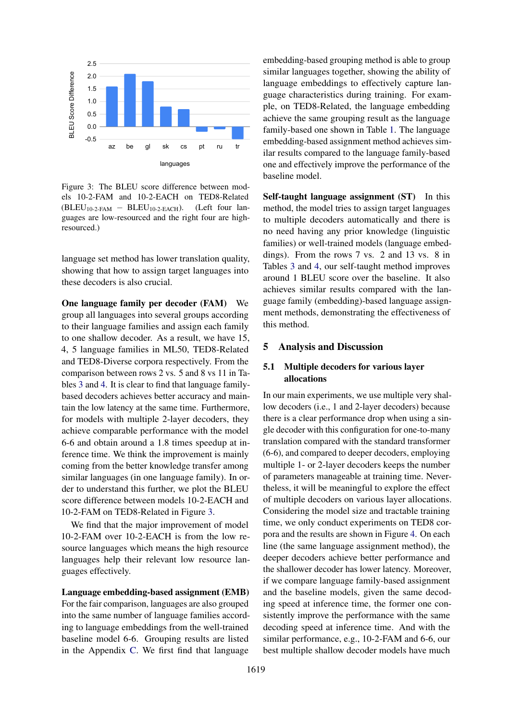<span id="page-6-0"></span>

Figure 3: The BLEU score difference between models 10-2-FAM and 10-2-EACH on TED8-Related  $(BLEU<sub>10-2-FAM</sub> - BLEU<sub>10-2-EACH</sub>)$ . (Left four languages are low-resourced and the right four are highresourced.)

language set method has lower translation quality, showing that how to assign target languages into these decoders is also crucial.

One language family per decoder (FAM) We group all languages into several groups according to their language families and assign each family to one shallow decoder. As a result, we have 15, 4, 5 language families in ML50, TED8-Related and TED8-Diverse corpora respectively. From the comparison between rows 2 vs. 5 and 8 vs 11 in Tables [3](#page-5-0) and [4.](#page-5-1) It is clear to find that language familybased decoders achieves better accuracy and maintain the low latency at the same time. Furthermore, for models with multiple 2-layer decoders, they achieve comparable performance with the model 6-6 and obtain around a 1.8 times speedup at inference time. We think the improvement is mainly coming from the better knowledge transfer among similar languages (in one language family). In order to understand this further, we plot the BLEU score difference between models 10-2-EACH and 10-2-FAM on TED8-Related in Figure [3.](#page-6-0)

We find that the major improvement of model 10-2-FAM over 10-2-EACH is from the low resource languages which means the high resource languages help their relevant low resource languages effectively.

#### Language embedding-based assignment (EMB)

For the fair comparison, languages are also grouped into the same number of language families according to language embeddings from the well-trained baseline model 6-6. Grouping results are listed in the Appendix [C.](#page-10-2) We first find that language embedding-based grouping method is able to group similar languages together, showing the ability of language embeddings to effectively capture language characteristics during training. For example, on TED8-Related, the language embedding achieve the same grouping result as the language family-based one shown in Table [1.](#page-3-0) The language embedding-based assignment method achieves similar results compared to the language family-based one and effectively improve the performance of the baseline model.

Self-taught language assignment (ST) In this method, the model tries to assign target languages to multiple decoders automatically and there is no need having any prior knowledge (linguistic families) or well-trained models (language embeddings). From the rows 7 vs. 2 and 13 vs. 8 in Tables [3](#page-5-0) and [4,](#page-5-1) our self-taught method improves around 1 BLEU score over the baseline. It also achieves similar results compared with the language family (embedding)-based language assignment methods, demonstrating the effectiveness of this method.

#### 5 Analysis and Discussion

### 5.1 Multiple decoders for various layer allocations

In our main experiments, we use multiple very shallow decoders (i.e., 1 and 2-layer decoders) because there is a clear performance drop when using a single decoder with this configuration for one-to-many translation compared with the standard transformer (6-6), and compared to deeper decoders, employing multiple 1- or 2-layer decoders keeps the number of parameters manageable at training time. Nevertheless, it will be meaningful to explore the effect of multiple decoders on various layer allocations. Considering the model size and tractable training time, we only conduct experiments on TED8 corpora and the results are shown in Figure [4.](#page-7-0) On each line (the same language assignment method), the deeper decoders achieve better performance and the shallower decoder has lower latency. Moreover, if we compare language family-based assignment and the baseline models, given the same decoding speed at inference time, the former one consistently improve the performance with the same decoding speed at inference time. And with the similar performance, e.g., 10-2-FAM and 6-6, our best multiple shallow decoder models have much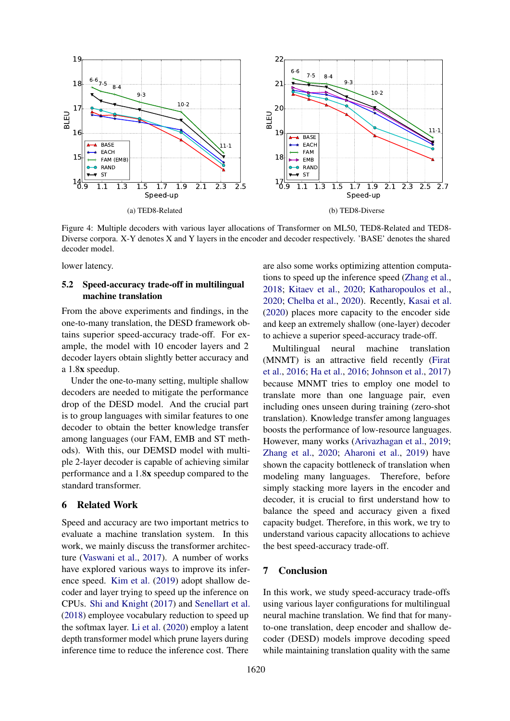<span id="page-7-0"></span>

Figure 4: Multiple decoders with various layer allocations of Transformer on ML50, TED8-Related and TED8- Diverse corpora. X-Y denotes X and Y layers in the encoder and decoder respectively. 'BASE' denotes the shared decoder model.

lower latency.

# 5.2 Speed-accuracy trade-off in multilingual machine translation

From the above experiments and findings, in the one-to-many translation, the DESD framework obtains superior speed-accuracy trade-off. For example, the model with 10 encoder layers and 2 decoder layers obtain slightly better accuracy and a 1.8x speedup.

Under the one-to-many setting, multiple shallow decoders are needed to mitigate the performance drop of the DESD model. And the crucial part is to group languages with similar features to one decoder to obtain the better knowledge transfer among languages (our FAM, EMB and ST methods). With this, our DEMSD model with multiple 2-layer decoder is capable of achieving similar performance and a 1.8x speedup compared to the standard transformer.

# <span id="page-7-1"></span>6 Related Work

Speed and accuracy are two important metrics to evaluate a machine translation system. In this work, we mainly discuss the transformer architecture [\(Vaswani et al.,](#page-9-1) [2017\)](#page-9-1). A number of works have explored various ways to improve its inference speed. [Kim et al.](#page-8-13) [\(2019\)](#page-8-13) adopt shallow decoder and layer trying to speed up the inference on CPUs. [Shi and Knight](#page-9-11) [\(2017\)](#page-9-11) and [Senellart et al.](#page-9-12) [\(2018\)](#page-9-12) employee vocabulary reduction to speed up the softmax layer. [Li et al.](#page-9-13) [\(2020\)](#page-9-13) employ a latent depth transformer model which prune layers during inference time to reduce the inference cost. There

are also some works optimizing attention computations to speed up the inference speed [\(Zhang et al.,](#page-9-14) [2018;](#page-9-14) [Kitaev et al.,](#page-9-15) [2020;](#page-9-15) [Katharopoulos et al.,](#page-8-14) [2020;](#page-8-14) [Chelba et al.,](#page-8-15) [2020\)](#page-8-15). Recently, [Kasai et al.](#page-8-8) [\(2020\)](#page-8-8) places more capacity to the encoder side and keep an extremely shallow (one-layer) decoder to achieve a superior speed-accuracy trade-off.

Multilingual neural machine translation (MNMT) is an attractive field recently [\(Firat](#page-8-4) [et al.,](#page-8-4) [2016;](#page-8-4) [Ha et al.,](#page-8-5) [2016;](#page-8-5) [Johnson et al.,](#page-8-6) [2017\)](#page-8-6) because MNMT tries to employ one model to translate more than one language pair, even including ones unseen during training (zero-shot translation). Knowledge transfer among languages boosts the performance of low-resource languages. However, many works [\(Arivazhagan et al.,](#page-8-7) [2019;](#page-8-7) [Zhang et al.,](#page-9-2) [2020;](#page-9-2) [Aharoni et al.,](#page-8-16) [2019\)](#page-8-16) have shown the capacity bottleneck of translation when modeling many languages. Therefore, before simply stacking more layers in the encoder and decoder, it is crucial to first understand how to balance the speed and accuracy given a fixed capacity budget. Therefore, in this work, we try to understand various capacity allocations to achieve the best speed-accuracy trade-off.

### 7 Conclusion

In this work, we study speed-accuracy trade-offs using various layer configurations for multilingual neural machine translation. We find that for manyto-one translation, deep encoder and shallow decoder (DESD) models improve decoding speed while maintaining translation quality with the same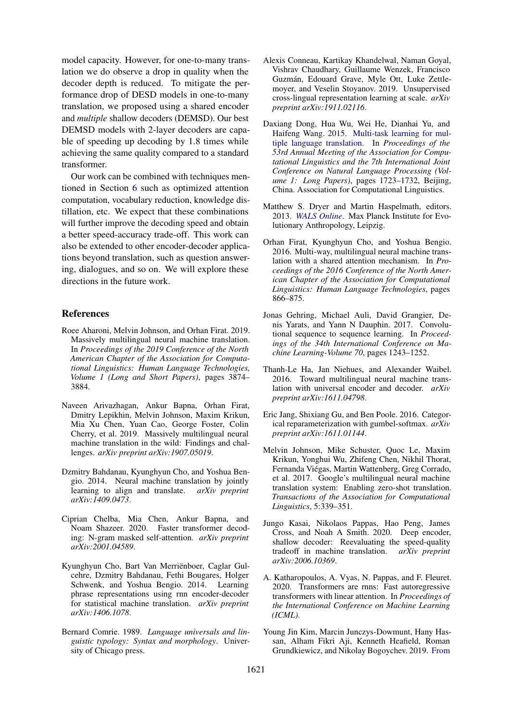model capacity. However, for one-to-many translation we do observe a drop in quality when the decoder depth is reduced. To mitigate the performance drop of DESD models in one-to-many translation, we proposed using a shared encoder and *multiple* shallow decoders (DEMSD). Our best DEMSD models with 2-layer decoders are capable of speeding up decoding by 1.8 times while achieving the same quality compared to a standard transformer.

Our work can be combined with techniques mentioned in Section [6](#page-7-1) such as optimized attention computation, vocabulary reduction, knowledge distillation, etc. We expect that these combinations will further improve the decoding speed and obtain a better speed-accuracy trade-off. This work can also be extended to other encoder-decoder applications beyond translation, such as question answering, dialogues, and so on. We will explore these directions in the future work.

### References

- <span id="page-8-16"></span>Roee Aharoni, Melvin Johnson, and Orhan Firat. 2019. Massively multilingual neural machine translation. In *Proceedings of the 2019 Conference of the North American Chapter of the Association for Computational Linguistics: Human Language Technologies, Volume 1 (Long and Short Papers)*, pages 3874– 3884.
- <span id="page-8-7"></span>Naveen Arivazhagan, Ankur Bapna, Orhan Firat, Dmitry Lepikhin, Melvin Johnson, Maxim Krikun, Mia Xu Chen, Yuan Cao, George Foster, Colin Cherry, et al. 2019. Massively multilingual neural machine translation in the wild: Findings and challenges. *arXiv preprint arXiv:1907.05019*.
- <span id="page-8-1"></span>Dzmitry Bahdanau, Kyunghyun Cho, and Yoshua Bengio. 2014. Neural machine translation by jointly learning to align and translate. *arXiv preprint arXiv:1409.0473*.
- <span id="page-8-15"></span>Ciprian Chelba, Mia Chen, Ankur Bapna, and Noam Shazeer. 2020. Faster transformer decoding: N-gram masked self-attention. *arXiv preprint arXiv:2001.04589*.
- <span id="page-8-0"></span>Kyunghyun Cho, Bart Van Merriënboer, Caglar Gulcehre, Dzmitry Bahdanau, Fethi Bougares, Holger Schwenk, and Yoshua Bengio. 2014. Learning phrase representations using rnn encoder-decoder for statistical machine translation. *arXiv preprint arXiv:1406.1078*.
- <span id="page-8-9"></span>Bernard Comrie. 1989. *Language universals and linguistic typology: Syntax and morphology*. University of Chicago press.
- <span id="page-8-12"></span>Alexis Conneau, Kartikay Khandelwal, Naman Goyal, Vishrav Chaudhary, Guillaume Wenzek, Francisco Guzman, Edouard Grave, Myle Ott, Luke Zettle- ´ moyer, and Veselin Stoyanov. 2019. Unsupervised cross-lingual representation learning at scale. *arXiv preprint arXiv:1911.02116*.
- <span id="page-8-3"></span>Daxiang Dong, Hua Wu, Wei He, Dianhai Yu, and Haifeng Wang. 2015. [Multi-task learning for mul](https://doi.org/10.3115/v1/P15-1166)[tiple language translation.](https://doi.org/10.3115/v1/P15-1166) In *Proceedings of the 53rd Annual Meeting of the Association for Computational Linguistics and the 7th International Joint Conference on Natural Language Processing (Volume 1: Long Papers)*, pages 1723–1732, Beijing, China. Association for Computational Linguistics.
- <span id="page-8-10"></span>Matthew S. Dryer and Martin Haspelmath, editors. 2013. *[WALS Online](https://wals.info/)*. Max Planck Institute for Evolutionary Anthropology, Leipzig.
- <span id="page-8-4"></span>Orhan Firat, Kyunghyun Cho, and Yoshua Bengio. 2016. Multi-way, multilingual neural machine translation with a shared attention mechanism. In *Proceedings of the 2016 Conference of the North American Chapter of the Association for Computational Linguistics: Human Language Technologies*, pages 866–875.
- <span id="page-8-2"></span>Jonas Gehring, Michael Auli, David Grangier, Denis Yarats, and Yann N Dauphin. 2017. Convolutional sequence to sequence learning. In *Proceedings of the 34th International Conference on Machine Learning-Volume 70*, pages 1243–1252.
- <span id="page-8-5"></span>Thanh-Le Ha, Jan Niehues, and Alexander Waibel. 2016. Toward multilingual neural machine translation with universal encoder and decoder. *arXiv preprint arXiv:1611.04798*.
- <span id="page-8-11"></span>Eric Jang, Shixiang Gu, and Ben Poole. 2016. Categorical reparameterization with gumbel-softmax. *arXiv preprint arXiv:1611.01144*.
- <span id="page-8-6"></span>Melvin Johnson, Mike Schuster, Quoc Le, Maxim Krikun, Yonghui Wu, Zhifeng Chen, Nikhil Thorat, Fernanda Viegas, Martin Wattenberg, Greg Corrado, ´ et al. 2017. Google's multilingual neural machine translation system: Enabling zero-shot translation. *Transactions of the Association for Computational Linguistics*, 5:339–351.
- <span id="page-8-8"></span>Jungo Kasai, Nikolaos Pappas, Hao Peng, James Cross, and Noah A Smith. 2020. Deep encoder, shallow decoder: Reevaluating the speed-quality tradeoff in machine translation. *arXiv preprint arXiv:2006.10369*.
- <span id="page-8-14"></span>A. Katharopoulos, A. Vyas, N. Pappas, and F. Fleuret. 2020. Transformers are rnns: Fast autoregressive transformers with linear attention. In *Proceedings of the International Conference on Machine Learning (ICML)*.
- <span id="page-8-13"></span>Young Jin Kim, Marcin Junczys-Dowmunt, Hany Hassan, Alham Fikri Aji, Kenneth Heafield, Roman Grundkiewicz, and Nikolay Bogoychev. 2019. [From](https://doi.org/10.18653/v1/D19-5632)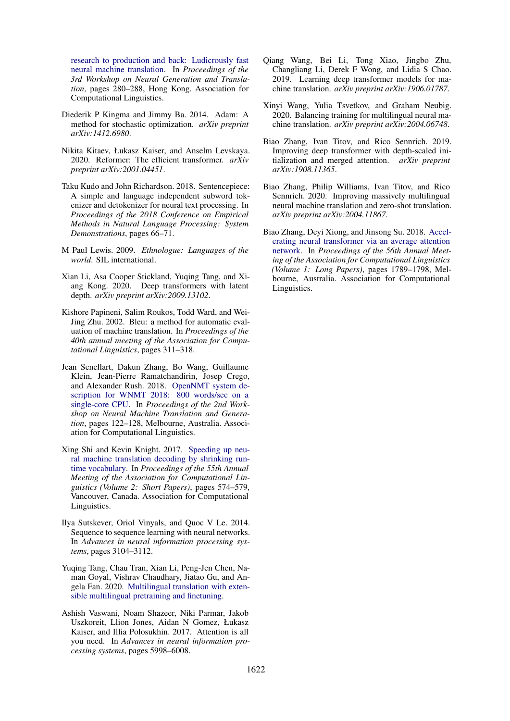[research to production and back: Ludicrously fast](https://doi.org/10.18653/v1/D19-5632) [neural machine translation.](https://doi.org/10.18653/v1/D19-5632) In *Proceedings of the 3rd Workshop on Neural Generation and Translation*, pages 280–288, Hong Kong. Association for Computational Linguistics.

- <span id="page-9-10"></span>Diederik P Kingma and Jimmy Ba. 2014. Adam: A method for stochastic optimization. *arXiv preprint arXiv:1412.6980*.
- <span id="page-9-15"></span>Nikita Kitaev, Łukasz Kaiser, and Anselm Levskaya. 2020. Reformer: The efficient transformer. *arXiv preprint arXiv:2001.04451*.
- <span id="page-9-9"></span>Taku Kudo and John Richardson. 2018. Sentencepiece: A simple and language independent subword tokenizer and detokenizer for neural text processing. In *Proceedings of the 2018 Conference on Empirical Methods in Natural Language Processing: System Demonstrations*, pages 66–71.
- <span id="page-9-8"></span>M Paul Lewis. 2009. *Ethnologue: Languages of the world*. SIL international.
- <span id="page-9-13"></span>Xian Li, Asa Cooper Stickland, Yuqing Tang, and Xiang Kong. 2020. Deep transformers with latent depth. *arXiv preprint arXiv:2009.13102*.
- <span id="page-9-7"></span>Kishore Papineni, Salim Roukos, Todd Ward, and Wei-Jing Zhu. 2002. Bleu: a method for automatic evaluation of machine translation. In *Proceedings of the 40th annual meeting of the Association for Computational Linguistics*, pages 311–318.
- <span id="page-9-12"></span>Jean Senellart, Dakun Zhang, Bo Wang, Guillaume Klein, Jean-Pierre Ramatchandirin, Josep Crego, and Alexander Rush. 2018. [OpenNMT system de](https://doi.org/10.18653/v1/W18-2715)[scription for WNMT 2018: 800 words/sec on a](https://doi.org/10.18653/v1/W18-2715) [single-core CPU.](https://doi.org/10.18653/v1/W18-2715) In *Proceedings of the 2nd Workshop on Neural Machine Translation and Generation*, pages 122–128, Melbourne, Australia. Association for Computational Linguistics.
- <span id="page-9-11"></span>Xing Shi and Kevin Knight. 2017. [Speeding up neu](https://doi.org/10.18653/v1/P17-2091)[ral machine translation decoding by shrinking run](https://doi.org/10.18653/v1/P17-2091)[time vocabulary.](https://doi.org/10.18653/v1/P17-2091) In *Proceedings of the 55th Annual Meeting of the Association for Computational Linguistics (Volume 2: Short Papers)*, pages 574–579, Vancouver, Canada. Association for Computational Linguistics.
- <span id="page-9-0"></span>Ilya Sutskever, Oriol Vinyals, and Quoc V Le. 2014. Sequence to sequence learning with neural networks. In *Advances in neural information processing systems*, pages 3104–3112.
- <span id="page-9-5"></span>Yuqing Tang, Chau Tran, Xian Li, Peng-Jen Chen, Naman Goyal, Vishrav Chaudhary, Jiatao Gu, and Angela Fan. 2020. [Multilingual translation with exten](http://arxiv.org/abs/2008.00401)[sible multilingual pretraining and finetuning.](http://arxiv.org/abs/2008.00401)
- <span id="page-9-1"></span>Ashish Vaswani, Noam Shazeer, Niki Parmar, Jakob Uszkoreit, Llion Jones, Aidan N Gomez, Łukasz Kaiser, and Illia Polosukhin. 2017. Attention is all you need. In *Advances in neural information processing systems*, pages 5998–6008.
- <span id="page-9-4"></span>Qiang Wang, Bei Li, Tong Xiao, Jingbo Zhu, Changliang Li, Derek F Wong, and Lidia S Chao. 2019. Learning deep transformer models for machine translation. *arXiv preprint arXiv:1906.01787*.
- <span id="page-9-6"></span>Xinyi Wang, Yulia Tsvetkov, and Graham Neubig. 2020. Balancing training for multilingual neural machine translation. *arXiv preprint arXiv:2004.06748*.
- <span id="page-9-3"></span>Biao Zhang, Ivan Titov, and Rico Sennrich. 2019. Improving deep transformer with depth-scaled initialization and merged attention. *arXiv preprint arXiv:1908.11365*.
- <span id="page-9-2"></span>Biao Zhang, Philip Williams, Ivan Titov, and Rico Sennrich. 2020. Improving massively multilingual neural machine translation and zero-shot translation. *arXiv preprint arXiv:2004.11867*.
- <span id="page-9-14"></span>Biao Zhang, Deyi Xiong, and Jinsong Su. 2018. [Accel](https://doi.org/10.18653/v1/P18-1166)[erating neural transformer via an average attention](https://doi.org/10.18653/v1/P18-1166) [network.](https://doi.org/10.18653/v1/P18-1166) In *Proceedings of the 56th Annual Meeting of the Association for Computational Linguistics (Volume 1: Long Papers)*, pages 1789–1798, Melbourne, Australia. Association for Computational Linguistics.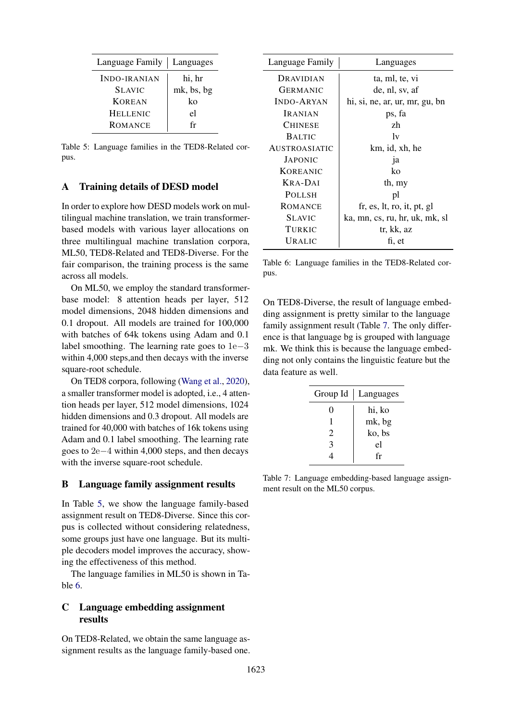<span id="page-10-3"></span>

| Language Family     | Languages  |
|---------------------|------------|
| <b>INDO-IRANIAN</b> | hi, hr     |
| <b>SLAVIC</b>       | mk, bs, bg |
| <b>KOREAN</b>       | ko         |
| <b>HELLENIC</b>     | el         |
| <b>ROMANCE</b>      | fr         |

Table 5: Language families in the TED8-Related corpus.

### <span id="page-10-0"></span>A Training details of DESD model

In order to explore how DESD models work on multilingual machine translation, we train transformerbased models with various layer allocations on three multilingual machine translation corpora, ML50, TED8-Related and TED8-Diverse. For the fair comparison, the training process is the same across all models.

On ML50, we employ the standard transformerbase model: 8 attention heads per layer, 512 model dimensions, 2048 hidden dimensions and 0.1 dropout. All models are trained for 100,000 with batches of 64k tokens using Adam and 0.1 label smoothing. The learning rate goes to 1e−3 within 4,000 steps,and then decays with the inverse square-root schedule.

On TED8 corpora, following [\(Wang et al.,](#page-9-6) [2020\)](#page-9-6), a smaller transformer model is adopted, i.e., 4 attention heads per layer, 512 model dimensions, 1024 hidden dimensions and 0.3 dropout. All models are trained for 40,000 with batches of 16k tokens using Adam and 0.1 label smoothing. The learning rate goes to 2e−4 within 4,000 steps, and then decays with the inverse square-root schedule.

#### <span id="page-10-1"></span>B Language family assignment results

In Table [5,](#page-10-3) we show the language family-based assignment result on TED8-Diverse. Since this corpus is collected without considering relatedness, some groups just have one language. But its multiple decoders model improves the accuracy, showing the effectiveness of this method.

The language families in ML50 is shown in Table [6.](#page-10-4)

# <span id="page-10-2"></span>C Language embedding assignment results

On TED8-Related, we obtain the same language assignment results as the language family-based one.

<span id="page-10-4"></span>

| Language Family      | Languages                      |
|----------------------|--------------------------------|
| DRAVIDIAN            | ta, ml, te, vi                 |
| <b>GERMANIC</b>      | de, nl, sv, af                 |
| <b>INDO-ARYAN</b>    | hi, si, ne, ar, ur, mr, gu, bn |
| <b>IRANIAN</b>       | ps, fa                         |
| <b>CHINESE</b>       | zh                             |
| <b>BALTIC</b>        | 1v                             |
| <b>AUSTROASIATIC</b> | km, id, xh, he                 |
| <b>JAPONIC</b>       | 1a                             |
| <b>KOREANIC</b>      | ko                             |
| KRA-DAI              | th, my                         |
| <b>POLLSH</b>        | pl                             |
| <b>ROMANCE</b>       | fr, es, lt, ro, it, pt, gl     |
| <b>SLAVIC</b>        | ka, mn, cs, ru, hr, uk, mk, sl |
| TURKIC               | tr, kk, az                     |
| URALIC               | fi, et                         |

Table 6: Language families in the TED8-Related corpus.

On TED8-Diverse, the result of language embedding assignment is pretty similar to the language family assignment result (Table [7.](#page-10-5) The only difference is that language bg is grouped with language mk. We think this is because the language embedding not only contains the linguistic feature but the data feature as well.

<span id="page-10-5"></span>

|                | Group Id   Languages |
|----------------|----------------------|
| 0              | hi, ko               |
|                | mk, bg               |
| $\overline{c}$ | ko, bs               |
| 3              | el                   |
|                | fr                   |

Table 7: Language embedding-based language assignment result on the ML50 corpus.